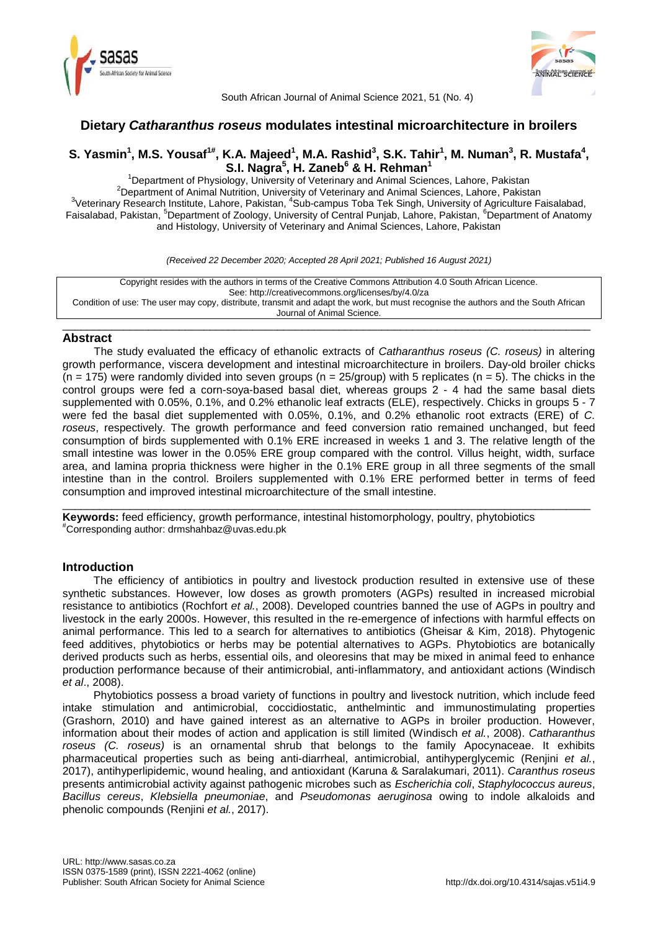



South African Journal of Animal Science 2021, 51 (No. 4)

# **Dietary** *Catharanthus roseus* **modulates intestinal microarchitecture in broilers**

# S. Yasmin<sup>1</sup>, M.S. Yousaf<sup>1#</sup>, K.A. Majeed<sup>1</sup>, M.A. Rashid<sup>3</sup>, S.K. Tahir<sup>1</sup>, M. Numan<sup>3</sup>, R. Mustafa<sup>4</sup>, **S.I. Nagra<sup>5</sup> , H. Zaneb<sup>6</sup> & H. Rehman<sup>1</sup>**

<sup>1</sup>Department of Physiology, University of Veterinary and Animal Sciences, Lahore, Pakistan 2Department of Animal Nutrition, University of Veterinary and Animal Sciences, Lahore, Pakistan <sup>3</sup>Veterinary Research Institute, Lahore, Pakistan, <sup>4</sup>Sub-campus Toba Tek Singh, University of Agriculture Faisalabad, Faisalabad, Pakistan, <sup>5</sup>Department of Zoology, University of Central Punjab, Lahore, Pakistan, <sup>6</sup>Department of Anatomy and Histology, University of Veterinary and Animal Sciences, Lahore, Pakistan

*(Received 22 December 2020; Accepted 28 April 2021; Published 16 August 2021)*

Copyright resides with the authors in terms of the Creative Commons Attribution 4.0 South African Licence. See: http://creativecommons.org/licenses/by/4.0/za Condition of use: The user may copy, distribute, transmit and adapt the work, but must recognise the authors and the South African Journal of Animal Science.

\_\_\_\_\_\_\_\_\_\_\_\_\_\_\_\_\_\_\_\_\_\_\_\_\_\_\_\_\_\_\_\_\_\_\_\_\_\_\_\_\_\_\_\_\_\_\_\_\_\_\_\_\_\_\_\_\_\_\_\_\_\_\_\_\_\_\_\_\_\_\_\_\_\_\_\_\_\_\_\_\_\_\_\_\_\_

## **Abstract**

The study evaluated the efficacy of ethanolic extracts of *Catharanthus roseus (C. roseus)* in altering growth performance, viscera development and intestinal microarchitecture in broilers. Day-old broiler chicks  $(n = 175)$  were randomly divided into seven groups  $(n = 25/$ group) with 5 replicates  $(n = 5)$ . The chicks in the control groups were fed a corn-soya-based basal diet, whereas groups 2 - 4 had the same basal diets supplemented with 0.05%, 0.1%, and 0.2% ethanolic leaf extracts (ELE), respectively. Chicks in groups 5 - 7 were fed the basal diet supplemented with 0.05%, 0.1%, and 0.2% ethanolic root extracts (ERE) of *C. roseus*, respectively. The growth performance and feed conversion ratio remained unchanged, but feed consumption of birds supplemented with 0.1% ERE increased in weeks 1 and 3. The relative length of the small intestine was lower in the 0.05% ERE group compared with the control. Villus height, width, surface area, and lamina propria thickness were higher in the 0.1% ERE group in all three segments of the small intestine than in the control. Broilers supplemented with 0.1% ERE performed better in terms of feed consumption and improved intestinal microarchitecture of the small intestine.

\_\_\_\_\_\_\_\_\_\_\_\_\_\_\_\_\_\_\_\_\_\_\_\_\_\_\_\_\_\_\_\_\_\_\_\_\_\_\_\_\_\_\_\_\_\_\_\_\_\_\_\_\_\_\_\_\_\_\_\_\_\_\_\_\_\_\_\_\_\_\_\_\_\_\_\_\_\_\_\_\_\_\_\_\_\_ **Keywords:** feed efficiency, growth performance, intestinal histomorphology, poultry, phytobiotics #Corresponding author: drmshahbaz@uvas.edu.pk

## **Introduction**

The efficiency of antibiotics in poultry and livestock production resulted in extensive use of these synthetic substances. However, low doses as growth promoters (AGPs) resulted in increased microbial resistance to antibiotics (Rochfort *et al.*, 2008). Developed countries banned the use of AGPs in poultry and livestock in the early 2000s. However, this resulted in the re-emergence of infections with harmful effects on animal performance. This led to a search for alternatives to antibiotics (Gheisar & Kim, 2018). Phytogenic feed additives, phytobiotics or herbs may be potential alternatives to AGPs. Phytobiotics are botanically derived products such as herbs, essential oils, and oleoresins that may be mixed in animal feed to enhance production performance because of their antimicrobial, anti-inflammatory, and antioxidant actions (Windisch *et al*., 2008).

Phytobiotics possess a broad variety of functions in poultry and livestock nutrition, which include feed intake stimulation and antimicrobial, coccidiostatic, anthelmintic and immunostimulating properties (Grashorn, 2010) and have gained interest as an alternative to AGPs in broiler production. However, information about their modes of action and application is still limited (Windisch *et al.*, 2008). *Catharanthus roseus (C. roseus)* is an ornamental shrub that belongs to the family Apocynaceae. It exhibits pharmaceutical properties such as being anti-diarrheal, antimicrobial, antihyperglycemic (Renjini *et al.*, 2017), antihyperlipidemic, wound healing, and antioxidant (Karuna & Saralakumari, 2011). *Caranthus roseus* presents antimicrobial activity against pathogenic microbes such as *Escherichia coli*, *Staphylococcus aureus*, *Bacillus cereus*, *Klebsiella pneumoniae*, and *Pseudomonas aeruginosa* owing to indole alkaloids and phenolic compounds (Renjini *et al.*, 2017).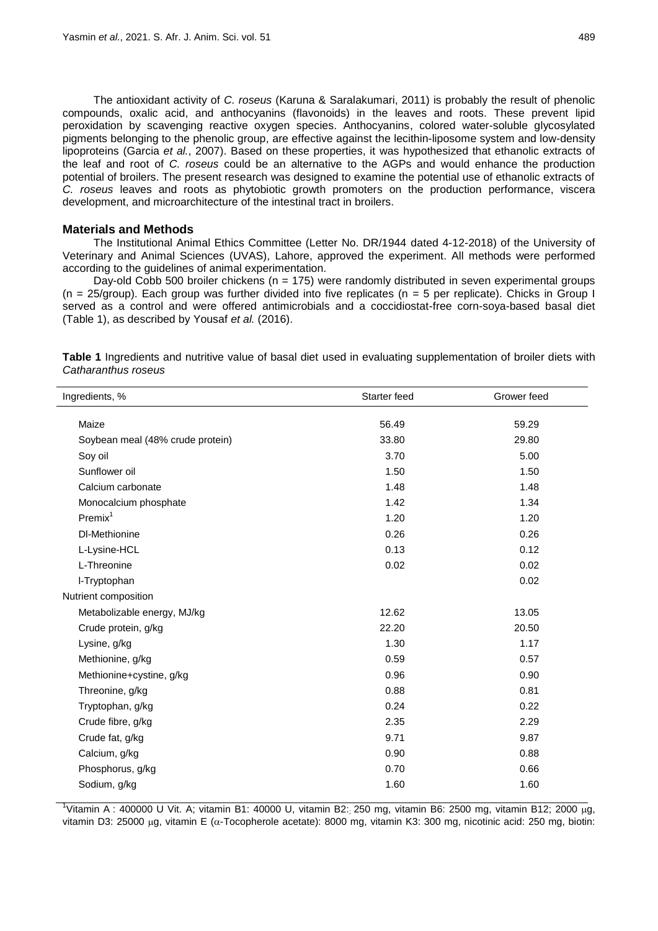The antioxidant activity of *C. roseus* (Karuna & Saralakumari, 2011) is probably the result of phenolic compounds, oxalic acid, and anthocyanins (flavonoids) in the leaves and roots. These prevent lipid peroxidation by scavenging reactive oxygen species. Anthocyanins, colored water-soluble glycosylated pigments belonging to the phenolic group, are effective against the lecithin-liposome system and low-density lipoproteins (Garcia *et al.*, 2007). Based on these properties, it was hypothesized that ethanolic extracts of the leaf and root of *C. roseus* could be an alternative to the AGPs and would enhance the production potential of broilers. The present research was designed to examine the potential use of ethanolic extracts of *C. roseus* leaves and roots as phytobiotic growth promoters on the production performance, viscera development, and microarchitecture of the intestinal tract in broilers.

## **Materials and Methods**

The Institutional Animal Ethics Committee (Letter No. DR/1944 dated 4-12-2018) of the University of Veterinary and Animal Sciences (UVAS), Lahore, approved the experiment. All methods were performed according to the guidelines of animal experimentation.

Day-old Cobb 500 broiler chickens ( $n = 175$ ) were randomly distributed in seven experimental groups ( $n = 25/$ group). Each group was further divided into five replicates ( $n = 5$  per replicate). Chicks in Group I served as a control and were offered antimicrobials and a coccidiostat-free corn-soya-based basal diet (Table 1), as described by Yousaf *et al.* (2016).

| Ingredients, %                   | Starter feed | Grower feed |
|----------------------------------|--------------|-------------|
| Maize                            | 56.49        | 59.29       |
| Soybean meal (48% crude protein) | 33.80        | 29.80       |
| Soy oil                          | 3.70         | 5.00        |
| Sunflower oil                    | 1.50         | 1.50        |
| Calcium carbonate                | 1.48         | 1.48        |
| Monocalcium phosphate            | 1.42         | 1.34        |
| Premix <sup>1</sup>              | 1.20         | 1.20        |
| DI-Methionine                    | 0.26         | 0.26        |
| L-Lysine-HCL                     | 0.13         | 0.12        |
| L-Threonine                      | 0.02         | 0.02        |
| I-Tryptophan                     |              | 0.02        |
| Nutrient composition             |              |             |
| Metabolizable energy, MJ/kg      | 12.62        | 13.05       |
| Crude protein, g/kg              | 22.20        | 20.50       |
| Lysine, g/kg                     | 1.30         | 1.17        |
| Methionine, g/kg                 | 0.59         | 0.57        |
| Methionine+cystine, g/kg         | 0.96         | 0.90        |
| Threonine, g/kg                  | 0.88         | 0.81        |
| Tryptophan, g/kg                 | 0.24         | 0.22        |
| Crude fibre, g/kg                | 2.35         | 2.29        |
| Crude fat, g/kg                  | 9.71         | 9.87        |
| Calcium, g/kg                    | 0.90         | 0.88        |
| Phosphorus, g/kg                 | 0.70         | 0.66        |
| Sodium, g/kg                     | 1.60         | 1.60        |

**Table 1** Ingredients and nutritive value of basal diet used in evaluating supplementation of broiler diets with *Catharanthus roseus*

<sup>1</sup>Vitamin A: 400000 U Vit. A; vitamin B1: 40000 U, vitamin B2: 250 mg, vitamin B6: 2500 mg, vitamin B12; 2000 µg, vitamin D3: 25000 µg, vitamin E ( $\alpha$ -Tocopherole acetate): 8000 mg, vitamin K3: 300 mg, nicotinic acid: 250 mg, biotin: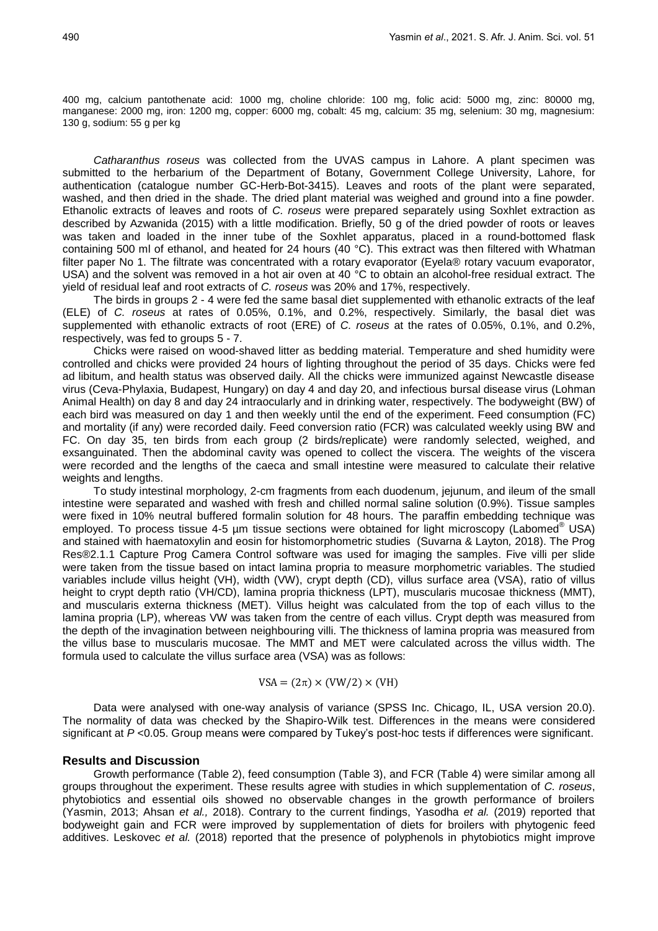400 mg, calcium pantothenate acid: 1000 mg, choline chloride: 100 mg, folic acid: 5000 mg, zinc: 80000 mg, manganese: 2000 mg, iron: 1200 mg, copper: 6000 mg, cobalt: 45 mg, calcium: 35 mg, selenium: 30 mg, magnesium: 130 g, sodium: 55 g per kg

*Catharanthus roseus* was collected from the UVAS campus in Lahore. A plant specimen was submitted to the herbarium of the Department of Botany, Government College University, Lahore, for authentication (catalogue number GC-Herb-Bot-3415). Leaves and roots of the plant were separated, washed, and then dried in the shade. The dried plant material was weighed and ground into a fine powder. Ethanolic extracts of leaves and roots of *C. roseus* were prepared separately using Soxhlet extraction as described by Azwanida (2015) with a little modification. Briefly, 50 g of the dried powder of roots or leaves was taken and loaded in the inner tube of the Soxhlet apparatus, placed in a round-bottomed flask containing 500 ml of ethanol, and heated for 24 hours (40 °C). This extract was then filtered with Whatman filter paper No 1. The filtrate was concentrated with a rotary evaporator (Eyela® rotary vacuum evaporator, USA) and the solvent was removed in a hot air oven at 40 °C to obtain an alcohol-free residual extract. The yield of residual leaf and root extracts of *C. roseus* was 20% and 17%, respectively.

The birds in groups 2 - 4 were fed the same basal diet supplemented with ethanolic extracts of the leaf (ELE) of *C. roseus* at rates of 0.05%, 0.1%, and 0.2%, respectively. Similarly, the basal diet was supplemented with ethanolic extracts of root (ERE) of *C. roseus* at the rates of 0.05%, 0.1%, and 0.2%, respectively, was fed to groups 5 - 7.

Chicks were raised on wood-shaved litter as bedding material. Temperature and shed humidity were controlled and chicks were provided 24 hours of lighting throughout the period of 35 days. Chicks were fed ad libitum, and health status was observed daily. All the chicks were immunized against Newcastle disease virus (Ceva-Phylaxia, Budapest, Hungary) on day 4 and day 20, and infectious bursal disease virus (Lohman Animal Health) on day 8 and day 24 intraocularly and in drinking water, respectively. The bodyweight (BW) of each bird was measured on day 1 and then weekly until the end of the experiment. Feed consumption (FC) and mortality (if any) were recorded daily. Feed conversion ratio (FCR) was calculated weekly using BW and FC. On day 35, ten birds from each group (2 birds/replicate) were randomly selected, weighed, and exsanguinated. Then the abdominal cavity was opened to collect the viscera. The weights of the viscera were recorded and the lengths of the caeca and small intestine were measured to calculate their relative weights and lengths.

To study intestinal morphology, 2-cm fragments from each duodenum, jejunum, and ileum of the small intestine were separated and washed with fresh and chilled normal saline solution (0.9%). Tissue samples were fixed in 10% neutral buffered formalin solution for 48 hours. The paraffin embedding technique was employed. To process tissue 4-5 µm tissue sections were obtained for light microscopy (Labomed<sup>®</sup> USA) and stained with haematoxylin and eosin for histomorphometric studies (Suvarna & Layton*,* 2018). The Prog Res®2.1.1 Capture Prog Camera Control software was used for imaging the samples. Five villi per slide were taken from the tissue based on intact lamina propria to measure morphometric variables. The studied variables include villus height (VH), width (VW), crypt depth (CD), villus surface area (VSA), ratio of villus height to crypt depth ratio (VH/CD), lamina propria thickness (LPT), muscularis mucosae thickness (MMT), and muscularis externa thickness (MET). Villus height was calculated from the top of each villus to the lamina propria (LP), whereas VW was taken from the centre of each villus. Crypt depth was measured from the depth of the invagination between neighbouring villi. The thickness of lamina propria was measured from the villus base to muscularis mucosae. The MMT and MET were calculated across the villus width. The formula used to calculate the villus surface area (VSA) was as follows:

$$
VSA = (2\pi) \times (VW/2) \times (VH)
$$

Data were analysed with one-way analysis of variance (SPSS Inc. Chicago, IL, USA version 20.0). The normality of data was checked by the Shapiro-Wilk test. Differences in the means were considered significant at  $P$  <0.05. Group means were compared by Tukey's post-hoc tests if differences were significant.

## **Results and Discussion**

Growth performance (Table 2), feed consumption (Table 3), and FCR (Table 4) were similar among all groups throughout the experiment. These results agree with studies in which supplementation of *C. roseus*, phytobiotics and essential oils showed no observable changes in the growth performance of broilers (Yasmin, 2013; Ahsan *et al.,* 2018). Contrary to the current findings, Yasodha *et al.* (2019) reported that bodyweight gain and FCR were improved by supplementation of diets for broilers with phytogenic feed additives. Leskovec *et al.* (2018) reported that the presence of polyphenols in phytobiotics might improve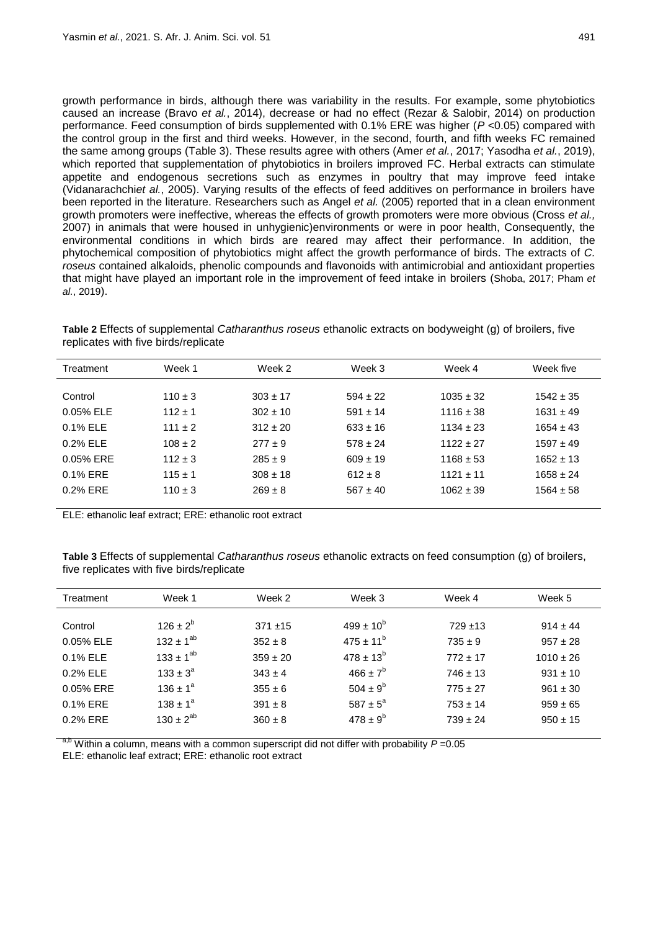growth performance in birds, although there was variability in the results. For example, some phytobiotics caused an increase (Bravo *et al.*, 2014), decrease or had no effect (Rezar & Salobir, 2014) on production performance. Feed consumption of birds supplemented with 0.1% ERE was higher (*P* <0.05) compared with the control group in the first and third weeks. However, in the second, fourth, and fifth weeks FC remained the same among groups (Table 3). These results agree with others (Amer *et al.*, 2017; Yasodha *et al.*, 2019), which reported that supplementation of phytobiotics in broilers improved FC. Herbal extracts can stimulate appetite and endogenous secretions such as enzymes in poultry that may improve feed intake (Vidanarachchi*et al.*, 2005). Varying results of the effects of feed additives on performance in broilers have been reported in the literature. Researchers such as Angel *et al.* (2005) reported that in a clean environment growth promoters were ineffective, whereas the effects of growth promoters were more obvious (Cross *et al.,* 2007) in animals that were housed in unhygienic)environments or were in poor health, Consequently, the environmental conditions in which birds are reared may affect their performance. In addition, the phytochemical composition of phytobiotics might affect the growth performance of birds. The extracts of *C. roseus* contained alkaloids, phenolic compounds and flavonoids with antimicrobial and antioxidant properties that might have played an important role in the improvement of feed intake in broilers (Shoba, 2017; Pham *et al.*, 2019).

**Table 2** Effects of supplemental *Catharanthus roseus* ethanolic extracts on bodyweight (g) of broilers, five replicates with five birds/replicate

| Treatment   | Week 1      | Week 2       | Week 3       | Week 4        | Week five     |
|-------------|-------------|--------------|--------------|---------------|---------------|
|             |             |              |              |               |               |
| Control     | $110 \pm 3$ | $303 \pm 17$ | $594 \pm 22$ | $1035 \pm 32$ | $1542 \pm 35$ |
| 0.05% ELE   | $112 + 1$   | $302 \pm 10$ | $591 \pm 14$ | $1116 \pm 38$ | $1631 \pm 49$ |
| 0.1% ELE    | $111 \pm 2$ | $312 \pm 20$ | $633 \pm 16$ | $1134 \pm 23$ | $1654 \pm 43$ |
| 0.2% ELE    | $108 + 2$   | $277 + 9$    | $578 \pm 24$ | $1122 \pm 27$ | $1597 \pm 49$ |
| 0.05% ERE   | $112 \pm 3$ | $285 \pm 9$  | $609 \pm 19$ | $1168 \pm 53$ | $1652 \pm 13$ |
| $0.1\%$ ERE | $115 \pm 1$ | $308 \pm 18$ | $612 \pm 8$  | $1121 + 11$   | $1658 \pm 24$ |
| 0.2% ERE    | $110 \pm 3$ | $269 \pm 8$  | $567 \pm 40$ | $1062 \pm 39$ | $1564 \pm 58$ |
|             |             |              |              |               |               |

ELE: ethanolic leaf extract; ERE: ethanolic root extract

**Table 3** Effects of supplemental *Catharanthus roseus* ethanolic extracts on feed consumption (g) of broilers, five replicates with five birds/replicate

| Treatment | Week 1           | Week 2       | Week 3              | Week 4       | Week 5        |
|-----------|------------------|--------------|---------------------|--------------|---------------|
|           |                  |              |                     |              |               |
| Control   | $126 \pm 2^{b}$  | $371 + 15$   | $499 \pm 10^{6}$    | $729 + 13$   | $914 \pm 44$  |
| 0.05% ELE | $132 \pm 1^{ab}$ | $352 \pm 8$  | $475 \pm 11^{b}$    | $735 \pm 9$  | $957 \pm 28$  |
| 0.1% ELE  | $133 \pm 1^{ab}$ | $359 \pm 20$ | $478 \pm 13^{6}$    | $772 \pm 17$ | $1010 \pm 26$ |
| 0.2% ELE  | $133 \pm 3^a$    | $343 \pm 4$  | $466 \pm 7^b$       | $746 \pm 13$ | $931 \pm 10$  |
| 0.05% ERE | $136 \pm 1^a$    | $355 \pm 6$  | $504 \pm 9^b$       | $775 \pm 27$ | $961 \pm 30$  |
| 0.1% ERE  | $138 \pm 1^a$    | $391 \pm 8$  | $587 \pm 5^{\circ}$ | $753 \pm 14$ | $959 \pm 65$  |
| 0.2% ERE  | $130 \pm 2^{ab}$ | $360 \pm 8$  | $478 \pm 9^b$       | $739 \pm 24$ | $950 \pm 15$  |
|           |                  |              |                     |              |               |

Within a column, means with a common superscript did not differ with probability  $P = 0.05$ 

ELE: ethanolic leaf extract; ERE: ethanolic root extract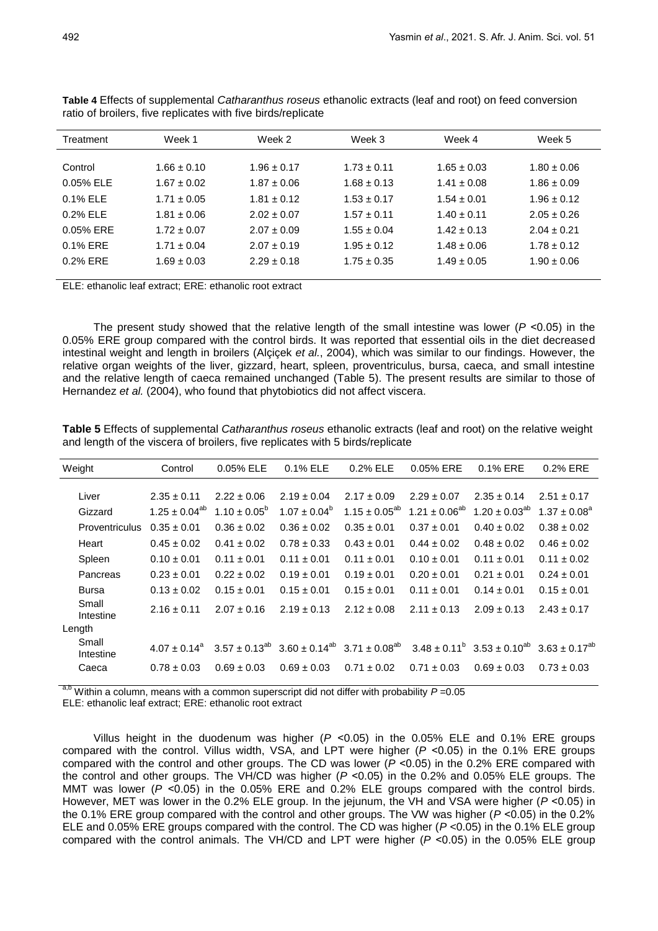| Treatment   | Week 1          | Week 2          | Week 3          | Week 4          | Week 5          |
|-------------|-----------------|-----------------|-----------------|-----------------|-----------------|
|             |                 |                 |                 |                 |                 |
| Control     | $1.66 \pm 0.10$ | $1.96 \pm 0.17$ | $1.73 \pm 0.11$ | $1.65 \pm 0.03$ | $1.80 \pm 0.06$ |
| 0.05% ELE   | $1.67 + 0.02$   | $1.87 \pm 0.06$ | $1.68 \pm 0.13$ | $1.41 \pm 0.08$ | $1.86 \pm 0.09$ |
| 0.1% ELE    | $1.71 + 0.05$   | $1.81 + 0.12$   | $1.53 + 0.17$   | $1.54 + 0.01$   | $1.96 + 0.12$   |
| 0.2% ELE    | $1.81 + 0.06$   | $2.02 \pm 0.07$ | $1.57 + 0.11$   | $1.40 + 0.11$   | $2.05 + 0.26$   |
| 0.05% ERE   | $1.72 \pm 0.07$ | $2.07 + 0.09$   | $1.55 \pm 0.04$ | $1.42 + 0.13$   | $2.04 + 0.21$   |
| $0.1\%$ ERE | $1.71 \pm 0.04$ | $2.07 \pm 0.19$ | $1.95 + 0.12$   | $1.48 \pm 0.06$ | $1.78 \pm 0.12$ |
| 0.2% ERE    | $1.69 \pm 0.03$ | $2.29 \pm 0.18$ | $1.75 \pm 0.35$ | $1.49 \pm 0.05$ | $1.90 \pm 0.06$ |
|             |                 |                 |                 |                 |                 |

**Table 4** Effects of supplemental *Catharanthus roseus* ethanolic extracts (leaf and root) on feed conversion ratio of broilers, five replicates with five birds/replicate

ELE: ethanolic leaf extract; ERE: ethanolic root extract

The present study showed that the relative length of the small intestine was lower (*P* ˂0.05) in the 0.05% ERE group compared with the control birds. It was reported that essential oils in the diet decreased intestinal weight and length in broilers (Alçiçek *et al.*, 2004), which was similar to our findings. However, the relative organ weights of the liver, gizzard, heart, spleen, proventriculus, bursa, caeca, and small intestine and the relative length of caeca remained unchanged (Table 5). The present results are similar to those of Hernandez *et al.* (2004), who found that phytobiotics did not affect viscera.

**Table 5** Effects of supplemental *Catharanthus roseus* ethanolic extracts (leaf and root) on the relative weight and length of the viscera of broilers, five replicates with 5 birds/replicate

| Weight                | Control              | 0.05% ELE               | 0.1% ELE          | 0.2% ELE                                                                                                                                                                                                   | 0.05% ERE            | 0.1% ERE             | 0.2% ERE          |
|-----------------------|----------------------|-------------------------|-------------------|------------------------------------------------------------------------------------------------------------------------------------------------------------------------------------------------------------|----------------------|----------------------|-------------------|
| Liver                 | $2.35 \pm 0.11$      | $2.22 \pm 0.06$         | $2.19 \pm 0.04$   | $2.17 \pm 0.09$                                                                                                                                                                                            | $2.29 \pm 0.07$      | $2.35 \pm 0.14$      | $2.51 \pm 0.17$   |
| Gizzard               | $1.25 \pm 0.04^{ab}$ | $1.10 \pm 0.05^{\circ}$ | $1.07 \pm 0.04^b$ | $1.15 \pm 0.05^{ab}$                                                                                                                                                                                       | $1.21 \pm 0.06^{ab}$ | $1.20 \pm 0.03^{ab}$ | $1.37 \pm 0.08^a$ |
| <b>Proventriculus</b> | $0.35 + 0.01$        | $0.36 \pm 0.02$         | $0.36 \pm 0.02$   | $0.35 \pm 0.01$                                                                                                                                                                                            | $0.37 \pm 0.01$      | $0.40 \pm 0.02$      | $0.38 \pm 0.02$   |
| Heart                 | $0.45 \pm 0.02$      | $0.41 \pm 0.02$         | $0.78 \pm 0.33$   | $0.43 \pm 0.01$                                                                                                                                                                                            | $0.44 \pm 0.02$      | $0.48 \pm 0.02$      | $0.46 \pm 0.02$   |
| Spleen                | $0.10 \pm 0.01$      | $0.11 \pm 0.01$         | $0.11 \pm 0.01$   | $0.11 \pm 0.01$                                                                                                                                                                                            | $0.10 \pm 0.01$      | $0.11 \pm 0.01$      | $0.11 \pm 0.02$   |
| Pancreas              | $0.23 \pm 0.01$      | $0.22 \pm 0.02$         | $0.19 \pm 0.01$   | $0.19 \pm 0.01$                                                                                                                                                                                            | $0.20 \pm 0.01$      | $0.21 \pm 0.01$      | $0.24 \pm 0.01$   |
| <b>Bursa</b>          | $0.13 \pm 0.02$      | $0.15 \pm 0.01$         | $0.15 \pm 0.01$   | $0.15 \pm 0.01$                                                                                                                                                                                            | $0.11 \pm 0.01$      | $0.14 \pm 0.01$      | $0.15 \pm 0.01$   |
| Small<br>Intestine    | $2.16 \pm 0.11$      | $2.07 \pm 0.16$         | $2.19 \pm 0.13$   | $2.12 \pm 0.08$                                                                                                                                                                                            | $2.11 \pm 0.13$      | $2.09 \pm 0.13$      | $2.43 \pm 0.17$   |
| Length                |                      |                         |                   |                                                                                                                                                                                                            |                      |                      |                   |
| Small<br>Intestine    |                      |                         |                   | $4.07 \pm 0.14^{\circ}$ 3.57 $\pm$ 0.13 <sup>ab</sup> 3.60 $\pm$ 0.14 <sup>ab</sup> 3.71 $\pm$ 0.08 <sup>ab</sup> 3.48 $\pm$ 0.11 <sup>b</sup> 3.53 $\pm$ 0.10 <sup>ab</sup> 3.63 $\pm$ 0.17 <sup>ab</sup> |                      |                      |                   |
| Caeca                 | $0.78 \pm 0.03$      | $0.69 \pm 0.03$         | $0.69 \pm 0.03$   | $0.71 \pm 0.02$                                                                                                                                                                                            | $0.71 \pm 0.03$      | $0.69 \pm 0.03$      | $0.73 \pm 0.03$   |

Within a column, means with a common superscript did not differ with probability *P* =0.05 ELE: ethanolic leaf extract; ERE: ethanolic root extract

Villus height in the duodenum was higher (*P* ˂0.05) in the 0.05% ELE and 0.1% ERE groups compared with the control. Villus width, VSA, and LPT were higher (*P* ˂0.05) in the 0.1% ERE groups compared with the control and other groups. The CD was lower (*P* ˂0.05) in the 0.2% ERE compared with the control and other groups. The VH/CD was higher (*P* ˂0.05) in the 0.2% and 0.05% ELE groups. The MMT was lower ( $P < 0.05$ ) in the 0.05% ERE and 0.2% ELE groups compared with the control birds. However, MET was lower in the 0.2% ELE group. In the jejunum, the VH and VSA were higher (*P* ˂0.05) in the 0.1% ERE group compared with the control and other groups. The VW was higher (*P* ˂0.05) in the 0.2% ELE and 0.05% ERE groups compared with the control. The CD was higher (*P* <0.05) in the 0.1% ELE group compared with the control animals. The VH/CD and LPT were higher (*P* ˂0.05) in the 0.05% ELE group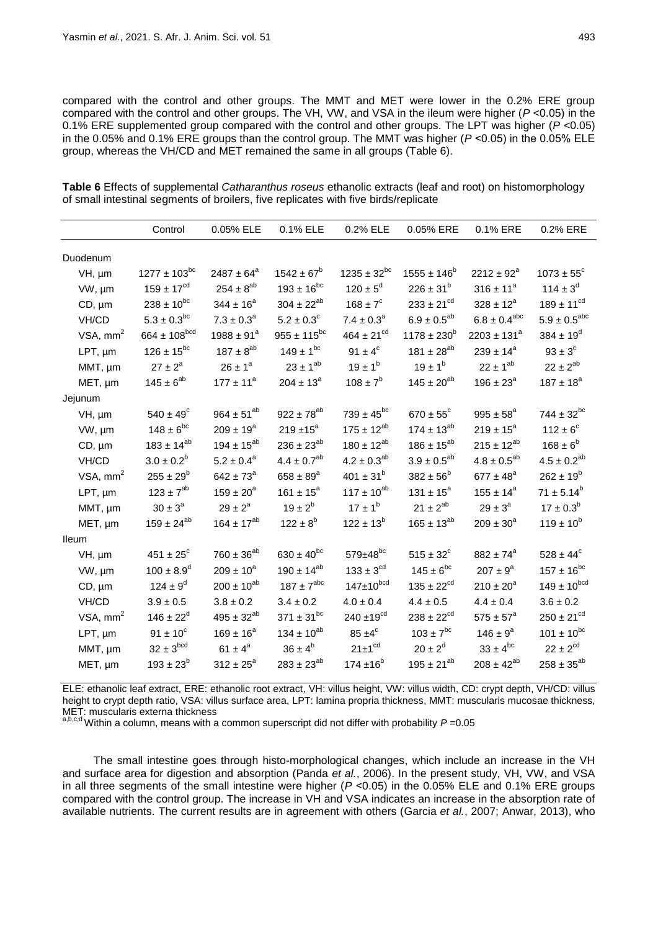compared with the control and other groups. The MMT and MET were lower in the 0.2% ERE group compared with the control and other groups. The VH, VW, and VSA in the ileum were higher (*P* <0.05) in the 0.1% ERE supplemented group compared with the control and other groups. The LPT was higher (*P* <0.05) in the 0.05% and 0.1% ERE groups than the control group. The MMT was higher (*P* ˂0.05) in the 0.05% ELE group, whereas the VH/CD and MET remained the same in all groups (Table 6).

**Table 6** Effects of supplemental *Catharanthus roseus* ethanolic extracts (leaf and root) on histomorphology of small intestinal segments of broilers, five replicates with five birds/replicate

|              | Control               | 0.05% ELE            | 0.1% ELE               | 0.2% ELE            | 0.05% ERE              | 0.1% ERE               | 0.2% ERE                 |
|--------------|-----------------------|----------------------|------------------------|---------------------|------------------------|------------------------|--------------------------|
| Duodenum     |                       |                      |                        |                     |                        |                        |                          |
| VH, µm       | $1277 \pm 103^{bc}$   | $2487 \pm 64^a$      | $1542 \pm 67^b$        | $1235 \pm 32^{bc}$  | $1555 \pm 146^b$       | $2212 \pm 92^a$        | $1073 \pm 55^{\circ}$    |
| VW, µm       | $159 \pm 17^{cd}$     | $254 \pm 8^{\rm ab}$ | $193 \pm 16^{bc}$      | $120 \pm 5^{\circ}$ | $226 \pm 31^{b}$       | $316 \pm 11^a$         | 114 ± $3^d$              |
| $CD, \mu m$  | $238 \pm 10^{bc}$     | $344 \pm 16^a$       | $304 \pm 22^{ab}$      | $168 \pm 7^c$       | $233 \pm 21^{cd}$      | $328 \pm 12^a$         | $189 \pm 11^{cd}$        |
| VH/CD        | $5.3 \pm 0.3^{bc}$    | $7.3 \pm 0.3^a$      | $5.2 \pm 0.3^{\circ}$  | $7.4 \pm 0.3^a$     | $6.9 \pm 0.5^{ab}$     | $6.8 \pm 0.4^{abc}$    | $5.9 \pm 0.5^{\rm abc}$  |
| VSA, $mm2$   | $664 \pm 108^{bcd}$   | $1988 \pm 91^a$      | $955 \pm 115^{bc}$     | $464 \pm 21^{cd}$   | $1178 \pm 230^b$       | $2203 \pm 131^a$       | $384 \pm 19^{d}$         |
| $LPT, \mu m$ | $126 \pm 15^{bc}$     | $187 \pm 8^{ab}$     | $149 \pm 1^{bc}$       | $91 \pm 4^c$        | 181 $\pm\,28^{\rm ab}$ | $239 \pm 14^a$         | $93 \pm 3^{\circ}$       |
| MMT, µm      | $27 \pm 2^a$          | $26 \pm 1^a$         | $23 \pm 1^{ab}$        | $19 \pm 1^{6}$      | $19 \pm 1^{6}$         | $22 \pm 1^{ab}$        | $22 \pm 2^{ab}$          |
|              | $145 \pm 6^{ab}$      | $177 \pm 11^a$       | $204 \pm 13^a$         | $108 \pm 7^{\rm b}$ | $145 \pm 20^{ab}$      | $196 \pm 23^{\circ}$   | $187 \pm 18^a$           |
| MET, µm      |                       |                      |                        |                     |                        |                        |                          |
| Jejunum      |                       |                      | $922 \pm 78^{ab}$      | $739 \pm 45^{bc}$   |                        |                        |                          |
| VH, µm       | $540 \pm 49^{\circ}$  | $964 \pm 51^{ab}$    |                        |                     | $670 \pm 55^{\circ}$   | $995 \pm 58^{\circ}$   | $744 \pm 32^{bc}$        |
| VW, µm       | $148 \pm 6^{bc}$      | $209 \pm 19^a$       | $219 \pm 15^a$         | $175 \pm 12^{ab}$   | $174 \pm 13^{ab}$      | $219 \pm 15^a$         | $112 \pm 6^c$            |
| $CD, \mu m$  | $183 \pm 14^{ab}$     | $194 \pm 15^{ab}$    | $236 \pm 23^{ab}$      | $180 \pm 12^{ab}$   | $186 \pm 15^{ab}$      | $215 \pm 12^{ab}$      | $168 \pm 6^b$            |
| VH/CD        | $3.0 \pm 0.2^b$       | $5.2 \pm 0.4^a$      | $4.4 \pm 0.7^{ab}$     | $4.2 \pm 0.3^{ab}$  | $3.9 \pm 0.5^{ab}$     | $4.8 \pm 0.5^{ab}$     | $4.5 \pm 0.2^{ab}$       |
| VSA, $mm2$   | $255\pm29^{\rm b}$    | $642 \pm 73^{\circ}$ | $658 \pm 89^{\circ}$   | $401 \pm 31^{b}$    | $382 \pm 56^{\circ}$   | $677 \pm 48^{\rm a}$   | $262 \pm 19^b$           |
| LPT, µm      | $123 \pm 7^{ab}$      | $159 \pm 20^a$       | $161 \pm 15^a$         | $117 \pm 10^{ab}$   | $131 \pm 15^a$         | $155 \pm 14^a$         | $71 \pm 5.14^b$          |
| MMT, µm      | $30 \pm 3^a$          | $29 \pm 2^a$         | $19 \pm 2^{b}$         | $17 \pm 1^b$        | $21 \pm 2^{ab}$        | $29 \pm 3^a$           | $17 \pm 0.3^b$           |
| MET, µm      | $159 \pm 24^{ab}$     | $164 \pm 17^{ab}$    | $122 \pm 8^b$          | $122 \pm 13^{6}$    | $165 \pm 13^{ab}$      | $209 \pm 30^a$         | $119 \pm 10^{6}$         |
| Ileum        |                       |                      |                        |                     |                        |                        |                          |
| VH, µm       | $451 \pm 25^{\circ}$  | $760 \pm 36^{ab}$    | $630 \pm 40^{bc}$      | $579 \pm 48^{bc}$   | $515 \pm 32^{\circ}$   | $882 \pm 74^{\circ}$   | $528 \pm 44^{\circ}$     |
| VW, µm       | $100 \pm 8.9^d$       | $209 \pm 10^a$       | $190 \pm 14^{ab}$      | $133 \pm 3^{cd}$    | $145 \pm 6^{bc}$       | $207 \pm 9^a$          | $157 \pm 16^{bc}$        |
| $CD, \mu m$  | $124 \pm 9^d$         | $200 \pm 10^{ab}$    | $187 \pm 7^{abc}$      | $147 \pm 10^{bcd}$  | $135 \pm 22^{cd}$      | $210 \pm 20^a$         | $149 \pm 10^{bcd}$       |
| VH/CD        | $3.9\pm0.5$           | $3.8 \pm 0.2$        | $3.4 \pm 0.2$          | $4.0 \pm 0.4$       | $4.4 \pm 0.5$          | $4.4 \pm 0.4$          | $3.6 \pm 0.2$            |
| VSA, $mm2$   | $146 \pm 22^d$        | $495 \pm 32^{ab}$    | $371 \pm 31^{bc}$      | $240 \pm 19^{cd}$   | $238 \pm 22^{cd}$      | $575 \pm 57^{\circ}$   | $250 \pm 21^{cd}$        |
| LPT, µm      | $91 \pm 10^{\circ}$   | $169 \pm 16^a$       | $134 \pm 10^{ab}$      | $85 \pm 4^{\circ}$  | $103 \pm 7^{bc}$       | $146 \pm 9^a$          | $101 \pm 10^{bc}$        |
| MMT, µm      | $32 \pm 3^\text{bcd}$ | $61 \pm 4^a$         | $36 \pm 4^b$           | $21 \pm 1^{cd}$     | $20 \pm 2^d$           | $33 \pm 4^{\rm bc}$    | $22 \pm 2^{cd}$          |
| MET, µm      | $193 \pm 23^{6}$      | $312 \pm 25^{\circ}$ | $283\pm23^{\text{ab}}$ | $174 \pm 16^b$      | $195 \pm 21^{ab}$      | $208 \pm 42^\text{ab}$ | $258 \pm 35^{\text{ab}}$ |

ELE: ethanolic leaf extract, ERE: ethanolic root extract, VH: villus height, VW: villus width, CD: crypt depth, VH/CD: villus height to crypt depth ratio, VSA: villus surface area, LPT: lamina propria thickness, MMT: muscularis mucosae thickness, MET: muscularis externa thickness

a,b,c,d Within a column, means with a common superscript did not differ with probability *P* =0.05

The small intestine goes through histo-morphological changes, which include an increase in the VH and surface area for digestion and absorption (Panda *et al.*, 2006). In the present study, VH, VW, and VSA in all three segments of the small intestine were higher (*P* ˂0.05) in the 0.05% ELE and 0.1% ERE groups compared with the control group. The increase in VH and VSA indicates an increase in the absorption rate of available nutrients. The current results are in agreement with others (Garcia *et al.*, 2007; Anwar, 2013), who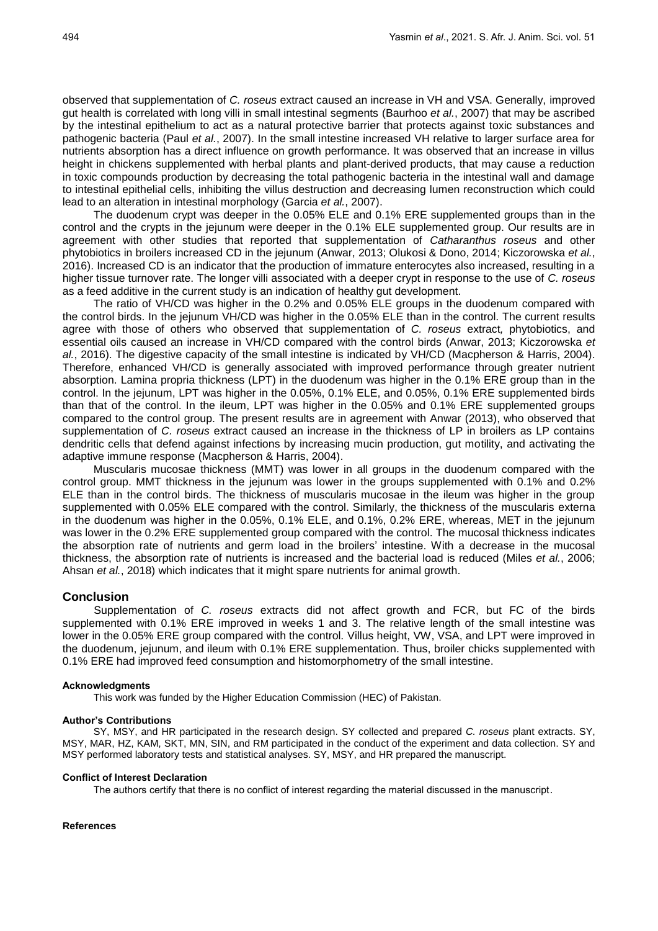observed that supplementation of *C. roseus* extract caused an increase in VH and VSA. Generally, improved gut health is correlated with long villi in small intestinal segments (Baurhoo *et al.*, 2007) that may be ascribed by the intestinal epithelium to act as a natural protective barrier that protects against toxic substances and pathogenic bacteria (Paul *et al.*, 2007). In the small intestine increased VH relative to larger surface area for nutrients absorption has a direct influence on growth performance. It was observed that an increase in villus height in chickens supplemented with herbal plants and plant-derived products, that may cause a reduction in toxic compounds production by decreasing the total pathogenic bacteria in the intestinal wall and damage to intestinal epithelial cells, inhibiting the villus destruction and decreasing lumen reconstruction which could lead to an alteration in intestinal morphology (Garcia *et al.*, 2007).

The duodenum crypt was deeper in the 0.05% ELE and 0.1% ERE supplemented groups than in the control and the crypts in the jejunum were deeper in the 0.1% ELE supplemented group. Our results are in agreement with other studies that reported that supplementation of *Catharanthus roseus* and other phytobiotics in broilers increased CD in the jejunum (Anwar, 2013; Olukosi & Dono, 2014; Kiczorowska *et al.*, 2016). Increased CD is an indicator that the production of immature enterocytes also increased, resulting in a higher tissue turnover rate. The longer villi associated with a deeper crypt in response to the use of *C. roseus* as a feed additive in the current study is an indication of healthy gut development.

The ratio of VH/CD was higher in the 0.2% and 0.05% ELE groups in the duodenum compared with the control birds. In the jejunum VH/CD was higher in the 0.05% ELE than in the control. The current results agree with those of others who observed that supplementation of *C. roseus* extract*,* phytobiotics, and essential oils caused an increase in VH/CD compared with the control birds (Anwar, 2013; Kiczorowska *et al.*, 2016). The digestive capacity of the small intestine is indicated by VH/CD (Macpherson & Harris, 2004). Therefore, enhanced VH/CD is generally associated with improved performance through greater nutrient absorption. Lamina propria thickness (LPT) in the duodenum was higher in the 0.1% ERE group than in the control. In the jejunum, LPT was higher in the 0.05%, 0.1% ELE, and 0.05%, 0.1% ERE supplemented birds than that of the control. In the ileum, LPT was higher in the 0.05% and 0.1% ERE supplemented groups compared to the control group. The present results are in agreement with Anwar (2013), who observed that supplementation of *C. roseus* extract caused an increase in the thickness of LP in broilers as LP contains dendritic cells that defend against infections by increasing mucin production, gut motility, and activating the adaptive immune response (Macpherson & Harris, 2004).

Muscularis mucosae thickness (MMT) was lower in all groups in the duodenum compared with the control group. MMT thickness in the jejunum was lower in the groups supplemented with 0.1% and 0.2% ELE than in the control birds. The thickness of muscularis mucosae in the ileum was higher in the group supplemented with 0.05% ELE compared with the control. Similarly, the thickness of the muscularis externa in the duodenum was higher in the 0.05%, 0.1% ELE, and 0.1%, 0.2% ERE, whereas, MET in the jejunum was lower in the 0.2% ERE supplemented group compared with the control. The mucosal thickness indicates the absorption rate of nutrients and germ load in the broilers' intestine. With a decrease in the mucosal thickness, the absorption rate of nutrients is increased and the bacterial load is reduced (Miles *et al.*, 2006; Ahsan *et al.*, 2018) which indicates that it might spare nutrients for animal growth.

## **Conclusion**

Supplementation of *C. roseus* extracts did not affect growth and FCR, but FC of the birds supplemented with 0.1% ERE improved in weeks 1 and 3. The relative length of the small intestine was lower in the 0.05% ERE group compared with the control. Villus height, VW, VSA, and LPT were improved in the duodenum, jejunum, and ileum with 0.1% ERE supplementation. Thus, broiler chicks supplemented with 0.1% ERE had improved feed consumption and histomorphometry of the small intestine.

## **Acknowledgments**

This work was funded by the Higher Education Commission (HEC) of Pakistan.

### **Author's Contributions**

SY, MSY, and HR participated in the research design. SY collected and prepared *C. roseus* plant extracts. SY, MSY, MAR, HZ, KAM, SKT, MN, SIN, and RM participated in the conduct of the experiment and data collection. SY and MSY performed laboratory tests and statistical analyses. SY, MSY, and HR prepared the manuscript.

#### **Conflict of Interest Declaration**

The authors certify that there is no conflict of interest regarding the material discussed in the manuscript.

#### **References**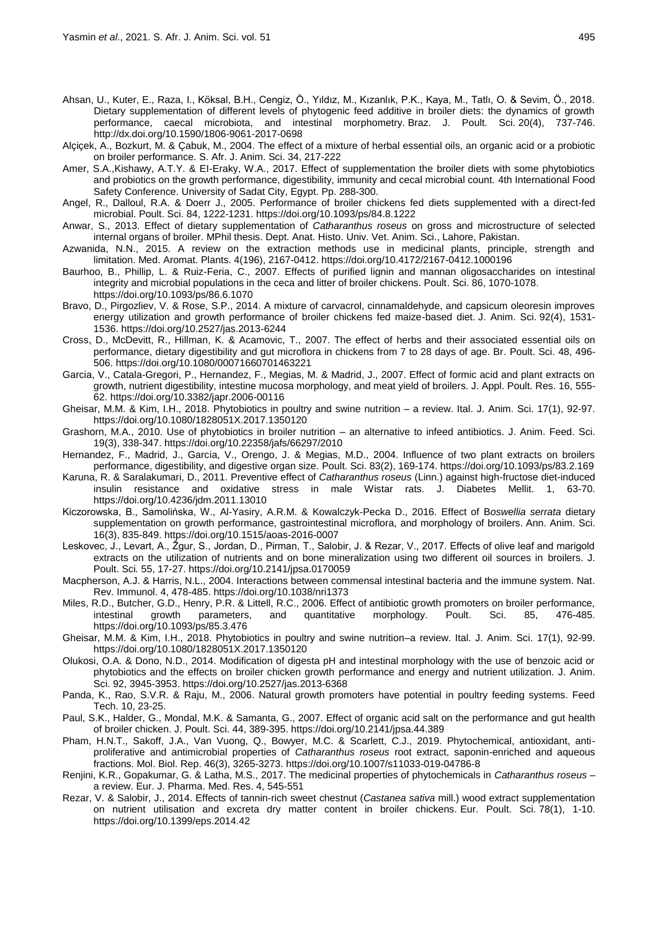- Ahsan, U., Kuter, E., Raza, I., Köksal, B.H., Cengiz, Ö., Yıldız, M., Kızanlık, P.K., Kaya, M., Tatlı, O. & Sevim, Ö., 2018. Dietary supplementation of different levels of phytogenic feed additive in broiler diets: the dynamics of growth performance, caecal microbiota, and intestinal morphometry. Braz. J. Poult. Sci. 20(4), 737-746. http://dx.doi.org/10.1590/1806-9061-2017-0698
- Alçiçek, A., Bozkurt, M. & Çabuk, M., 2004. The effect of a mixture of herbal essential oils, an organic acid or a probiotic on broiler performance. S. Afr. J. Anim. Sci. 34, 217-222
- Amer, S.A.,Kishawy, A.T.Y. & EI-Eraky, W.A., 2017. Effect of supplementation the broiler diets with some phytobiotics and probiotics on the growth performance, digestibility, immunity and cecal microbial count. 4th International Food Safety Conference. University of Sadat City, Egypt. Pp. 288-300.
- Angel, R., Dalloul, R.A. & Doerr J., 2005. Performance of broiler chickens fed diets supplemented with a direct-fed microbial. Poult. Sci. 84, 1222-1231. https://doi.org[/10.1093/ps/84.8.1222](https://doi.org/10.1093/ps/84.8.1222)
- Anwar, S., 2013. Effect of dietary supplementation of *Catharanthus roseus* on gross and microstructure of selected internal organs of broiler. MPhil thesis. Dept. Anat. Histo. Univ. Vet. Anim. Sci., Lahore, Pakistan.
- Azwanida, N.N., 2015. A review on the extraction methods use in medicinal plants, principle, strength and limitation. Med. Aromat. Plants. 4(196), 2167-0412. https://doi.org/10.4172/2167-0412.1000196
- Baurhoo, B., Phillip, L. & Ruiz-Feria, C., 2007. Effects of purified lignin and mannan oligosaccharides on intestinal integrity and microbial populations in the ceca and litter of broiler chickens. Poult. Sci. 86, 1070-1078. https://doi.org[/10.1093/ps/86.6.1070](https://doi.org/10.1093/ps/86.6.1070)
- Bravo, D., Pirgozliev, V. & Rose, S.P., 2014. A mixture of carvacrol, cinnamaldehyde, and capsicum oleoresin improves energy utilization and growth performance of broiler chickens fed maize-based diet. J. Anim. Sci. 92(4), 1531- 1536.<https://doi.org/10.2527/jas.2013-6244>
- Cross, D., McDevitt, R., Hillman, K. & Acamovic, T., 2007. The effect of herbs and their associated essential oils on performance, dietary digestibility and gut microflora in chickens from 7 to 28 days of age. Br. Poult. Sci. 48, 496- 506. https://doi.org/10.1080/00071660701463221
- Garcia, V., Catala-Gregori, P., Hernandez, F., Megias, M. & Madrid, J., 2007. Effect of formic acid and plant extracts on growth, nutrient digestibility, intestine mucosa morphology, and meat yield of broilers. J. Appl. Poult. Res. 16, 555- 62. https://doi.org/10.3382/japr.2006-00116
- Gheisar, M.M. & Kim, I.H., 2018. Phytobiotics in poultry and swine nutrition a review. Ital. J. Anim. Sci. 17(1), 92-97. https://doi.org/10.1080/1828051X.2017.1350120
- Grashorn, M.A., 2010. Use of phytobiotics in broiler nutrition an alternative to infeed antibiotics. J. Anim. Feed. Sci. 19(3), 338-347. <https://doi.org/10.22358/jafs/66297/2010>
- Hernandez, F., Madrid, J., Garcia, V., Orengo, J. & Megias, M.D., 2004. Influence of two plant extracts on broilers performance, digestibility, and digestive organ size. Poult. Sci. 83(2), 169-174. https://doi.org[/10.1093/ps/83.2.169](https://doi.org/10.1093/ps/83.2.169)
- Karuna, R. & Saralakumari, D., 2011. Preventive effect of *Catharanthus roseus* (Linn.) against high-fructose diet-induced insulin resistance and oxidative stress in male Wistar rats. J. Diabetes Mellit. 1, 63-70. https://doi.org[/10.4236/jdm.2011.13010](http://dx.doi.org/10.4236/jdm.2011.13010)
- Kiczorowska, B., Samolińska, W., Al-Yasiry, A.R.M. & Kowalczyk-Pecka D., 2016. Effect of B*oswellia serrata* dietary supplementation on growth performance, gastrointestinal microflora, and morphology of broilers. Ann. Anim. Sci. 16(3), 835-849. https://doi.org/10.1515/aoas-2016-0007
- Leskovec, J., Levart, A., Žgur, S., Jordan, D., Pirman, T., Salobir, J. & Rezar, V., 2017. Effects of olive leaf and marigold extracts on the utilization of nutrients and on bone mineralization using two different oil sources in broilers. J. Poult. Sci*.* 55, 17-27. https://doi.org[/10.2141/jpsa.0170059](https://doi.org/10.2141/jpsa.0170059)
- Macpherson, A.J. & Harris, N.L., 2004. Interactions between commensal intestinal bacteria and the immune system. Nat. Rev. Immunol. 4, 478-485. https://doi.org[/10.1038/nri1373](https://doi.org/10.1038/nri1373)
- Miles, R.D., Butcher, G.D., Henry, P.R. & Littell, R.C., 2006. Effect of antibiotic growth promoters on broiler performance,<br>intestinal growth parameters, and quantitative morphology. Poult. Sci. 85, 476-485. intestinal growth parameters, and quantitative morphology. Poult. Sci. 85, 476-485. https://doi.org[/10.1093/ps/85.3.476](https://doi.org/10.1093/ps/85.3.476)
- Gheisar, M.M. & Kim, I.H., 2018. Phytobiotics in poultry and swine nutrition–a review. Ital. J. Anim. Sci. 17(1), 92-99. https://doi.org/10.1080/1828051X.2017.1350120
- Olukosi, O.A. & Dono, N.D., 2014. Modification of digesta pH and intestinal morphology with the use of benzoic acid or phytobiotics and the effects on broiler chicken growth performance and energy and nutrient utilization. J. Anim. Sci. 92, 3945-3953. https://doi.org/10.2527/jas.2013-6368
- Panda, K., Rao, S.V.R. & Raju, M., 2006. Natural growth promoters have potential in poultry feeding systems. Feed Tech. 10, 23-25.
- Paul, S.K., Halder, G., Mondal, M.K. & Samanta, G., 2007. Effect of organic acid salt on the performance and gut health of broiler chicken. J. Poult. Sci. 44, 389-395[. https://doi.org/10.2141/jpsa.44.389](https://doi.org/10.2141/jpsa.44.389)
- Pham, H.N.T., Sakoff, J.A., Van Vuong, Q., Bowyer, M.C. & Scarlett, C.J., 2019. Phytochemical, antioxidant, antiproliferative and antimicrobial properties of *Catharanthus roseus* root extract, saponin-enriched and aqueous fractions. Mol. Biol. Rep. 46(3), 3265-3273. https://doi.org/10.1007/s11033-019-04786-8
- Renjini, K.R., Gopakumar, G. & Latha, M.S., 2017. The medicinal properties of phytochemicals in *Catharanthus roseus –* a review. Eur. J. Pharma. Med. Res. 4, 545-551
- Rezar, V. & Salobir, J., 2014. Effects of tannin-rich sweet chestnut (*Castanea sativa* mill.) wood extract supplementation on nutrient utilisation and excreta dry matter content in broiler chickens. Eur. Poult. Sci. 78(1), 1-10. https://doi.org/10.1399/eps.2014.42